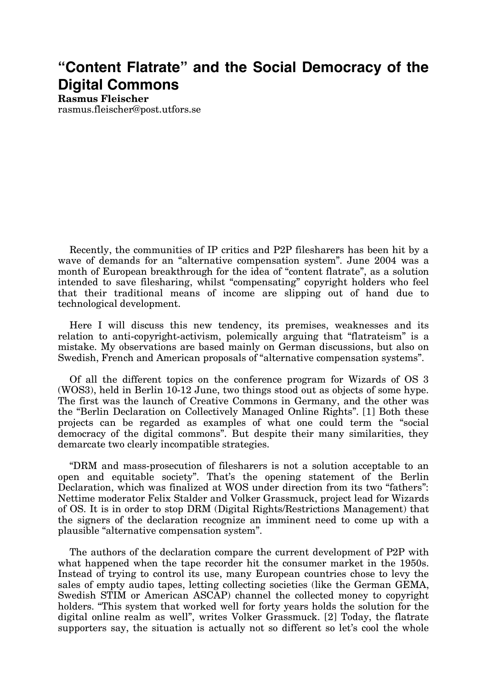## **"Content Flatrate" and the Social Democracy of the Digital Commons**

**Rasmus Fleischer** rasmus.fleischer@post.utfors.se

Recently, the communities of IP critics and P2P filesharers has been hit by a wave of demands for an "alternative compensation system". June 2004 was a month of European breakthrough for the idea of "content flatrate", as a solution intended to save filesharing, whilst "compensating" copyright holders who feel that their traditional means of income are slipping out of hand due to technological development.

Here I will discuss this new tendency, its premises, weaknesses and its relation to anti-copyright-activism, polemically arguing that "flatrateism" is a mistake. My observations are based mainly on German discussions, but also on Swedish, French and American proposals of "alternative compensation systems".

Of all the different topics on the conference program for Wizards of OS 3 (WOS3), held in Berlin 10-12 June, two things stood out as objects of some hype. The first was the launch of Creative Commons in Germany, and the other was the "Berlin Declaration on Collectively Managed Online Rights". [1] Both these projects can be regarded as examples of what one could term the "social democracy of the digital commons". But despite their many similarities, they demarcate two clearly incompatible strategies.

"DRM and mass-prosecution of filesharers is not a solution acceptable to an open and equitable society". That's the opening statement of the Berlin Declaration, which was finalized at WOS under direction from its two "fathers": Nettime moderator Felix Stalder and Volker Grassmuck, project lead for Wizards of OS. It is in order to stop DRM (Digital Rights/Restrictions Management) that the signers of the declaration recognize an imminent need to come up with a plausible "alternative compensation system".

The authors of the declaration compare the current development of P2P with what happened when the tape recorder hit the consumer market in the 1950s. Instead of trying to control its use, many European countries chose to levy the sales of empty audio tapes, letting collecting societies (like the German GEMA, Swedish STIM or American ASCAP) channel the collected money to copyright holders. "This system that worked well for forty years holds the solution for the digital online realm as well", writes Volker Grassmuck. [2] Today, the flatrate supporters say, the situation is actually not so different so let's cool the whole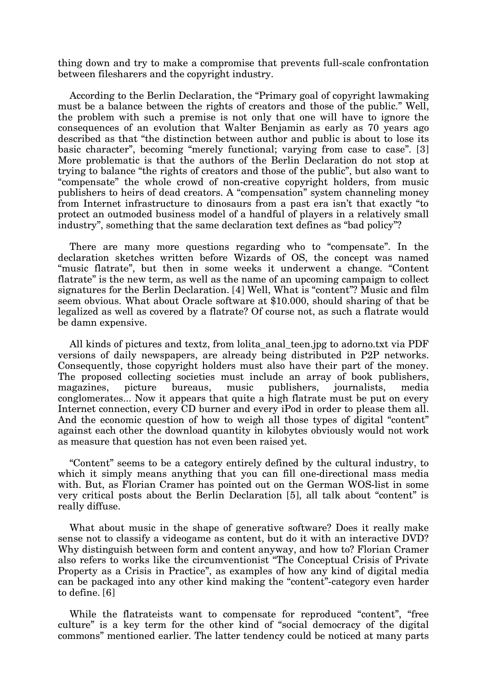thing down and try to make a compromise that prevents full-scale confrontation between filesharers and the copyright industry.

According to the Berlin Declaration, the "Primary goal of copyright lawmaking must be a balance between the rights of creators and those of the public." Well, the problem with such a premise is not only that one will have to ignore the consequences of an evolution that Walter Benjamin as early as 70 years ago described as that "the distinction between author and public is about to lose its basic character", becoming "merely functional; varying from case to case". [3] More problematic is that the authors of the Berlin Declaration do not stop at trying to balance "the rights of creators and those of the public", but also want to "compensate" the whole crowd of non-creative copyright holders, from music publishers to heirs of dead creators. A "compensation" system channeling money from Internet infrastructure to dinosaurs from a past era isn't that exactly "to protect an outmoded business model of a handful of players in a relatively small industry", something that the same declaration text defines as "bad policy"?

There are many more questions regarding who to "compensate". In the declaration sketches written before Wizards of OS, the concept was named "music flatrate", but then in some weeks it underwent a change. "Content flatrate" is the new term, as well as the name of an upcoming campaign to collect signatures for the Berlin Declaration. [4] Well, What is "content"? Music and film seem obvious. What about Oracle software at \$10.000, should sharing of that be legalized as well as covered by a flatrate? Of course not, as such a flatrate would be damn expensive.

All kinds of pictures and textz, from lolita\_anal\_teen.jpg to adorno.txt via PDF versions of daily newspapers, are already being distributed in P2P networks. Consequently, those copyright holders must also have their part of the money. The proposed collecting societies must include an array of book publishers, magazines, picture bureaus, music publishers, journalists, media conglomerates... Now it appears that quite a high flatrate must be put on every Internet connection, every CD burner and every iPod in order to please them all. And the economic question of how to weigh all those types of digital "content" against each other the download quantity in kilobytes obviously would not work as measure that question has not even been raised yet.

"Content" seems to be a category entirely defined by the cultural industry, to which it simply means anything that you can fill one-directional mass media with. But, as Florian Cramer has pointed out on the German WOS-list in some very critical posts about the Berlin Declaration [5], all talk about "content" is really diffuse.

What about music in the shape of generative software? Does it really make sense not to classify a videogame as content, but do it with an interactive DVD? Why distinguish between form and content anyway, and how to? Florian Cramer also refers to works like the circumventionist "The Conceptual Crisis of Private Property as a Crisis in Practice", as examples of how any kind of digital media can be packaged into any other kind making the "content"-category even harder to define. [6]

While the flatrateists want to compensate for reproduced "content", "free culture" is a key term for the other kind of "social democracy of the digital commons" mentioned earlier. The latter tendency could be noticed at many parts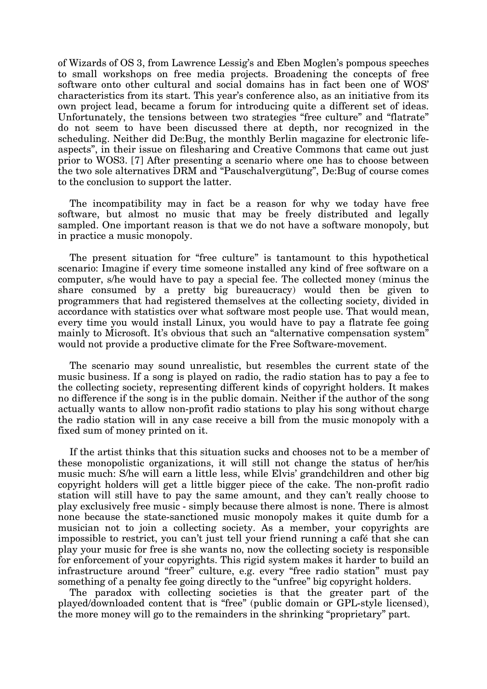of Wizards of OS 3, from Lawrence Lessig's and Eben Moglen's pompous speeches to small workshops on free media projects. Broadening the concepts of free software onto other cultural and social domains has in fact been one of WOS' characteristics from its start. This year's conference also, as an initiative from its own project lead, became a forum for introducing quite a different set of ideas. Unfortunately, the tensions between two strategies "free culture" and "flatrate" do not seem to have been discussed there at depth, nor recognized in the scheduling. Neither did De:Bug, the monthly Berlin magazine for electronic lifeaspects", in their issue on filesharing and Creative Commons that came out just prior to WOS3. [7] After presenting a scenario where one has to choose between the two sole alternatives DRM and "Pauschalvergütung", De:Bug of course comes to the conclusion to support the latter.

The incompatibility may in fact be a reason for why we today have free software, but almost no music that may be freely distributed and legally sampled. One important reason is that we do not have a software monopoly, but in practice a music monopoly.

The present situation for "free culture" is tantamount to this hypothetical scenario: Imagine if every time someone installed any kind of free software on a computer, s/he would have to pay a special fee. The collected money (minus the share consumed by a pretty big bureaucracy) would then be given to programmers that had registered themselves at the collecting society, divided in accordance with statistics over what software most people use. That would mean, every time you would install Linux, you would have to pay a flatrate fee going mainly to Microsoft. It's obvious that such an "alternative compensation system" would not provide a productive climate for the Free Software-movement.

The scenario may sound unrealistic, but resembles the current state of the music business. If a song is played on radio, the radio station has to pay a fee to the collecting society, representing different kinds of copyright holders. It makes no difference if the song is in the public domain. Neither if the author of the song actually wants to allow non-profit radio stations to play his song without charge the radio station will in any case receive a bill from the music monopoly with a fixed sum of money printed on it.

If the artist thinks that this situation sucks and chooses not to be a member of these monopolistic organizations, it will still not change the status of her/his music much: S/he will earn a little less, while Elvis' grandchildren and other big copyright holders will get a little bigger piece of the cake. The non-profit radio station will still have to pay the same amount, and they can't really choose to play exclusively free music - simply because there almost is none. There is almost none because the state-sanctioned music monopoly makes it quite dumb for a musician not to join a collecting society. As a member, your copyrights are impossible to restrict, you can't just tell your friend running a café that she can play your music for free is she wants no, now the collecting society is responsible for enforcement of your copyrights. This rigid system makes it harder to build an infrastructure around "freer" culture, e.g. every "free radio station" must pay something of a penalty fee going directly to the "unfree" big copyright holders.

The paradox with collecting societies is that the greater part of the played/downloaded content that is "free" (public domain or GPL-style licensed), the more money will go to the remainders in the shrinking "proprietary" part.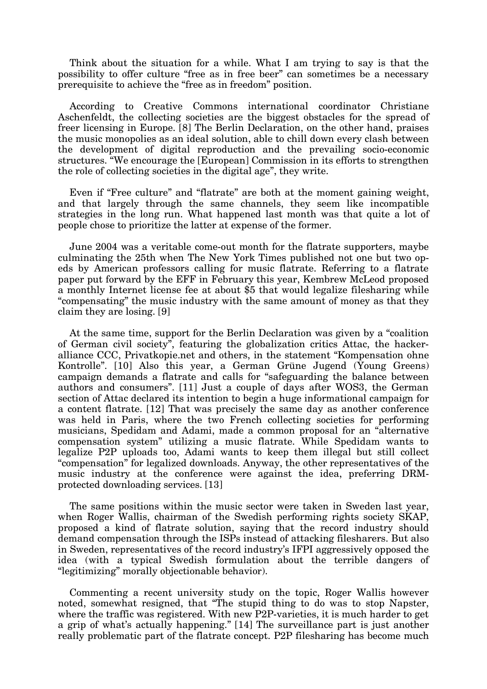Think about the situation for a while. What I am trying to say is that the possibility to offer culture "free as in free beer" can sometimes be a necessary prerequisite to achieve the "free as in freedom" position.

According to Creative Commons international coordinator Christiane Aschenfeldt, the collecting societies are the biggest obstacles for the spread of freer licensing in Europe. [8] The Berlin Declaration, on the other hand, praises the music monopolies as an ideal solution, able to chill down every clash between the development of digital reproduction and the prevailing socio-economic structures. "We encourage the [European] Commission in its efforts to strengthen the role of collecting societies in the digital age", they write.

Even if "Free culture" and "flatrate" are both at the moment gaining weight, and that largely through the same channels, they seem like incompatible strategies in the long run. What happened last month was that quite a lot of people chose to prioritize the latter at expense of the former.

June 2004 was a veritable come-out month for the flatrate supporters, maybe culminating the 25th when The New York Times published not one but two opeds by American professors calling for music flatrate. Referring to a flatrate paper put forward by the EFF in February this year, Kembrew McLeod proposed a monthly Internet license fee at about \$5 that would legalize filesharing while "compensating" the music industry with the same amount of money as that they claim they are losing. [9]

At the same time, support for the Berlin Declaration was given by a "coalition of German civil society", featuring the globalization critics Attac, the hackeralliance CCC, Privatkopie.net and others, in the statement "Kompensation ohne Kontrolle". [10] Also this year, a German Grüne Jugend (Young Greens) campaign demands a flatrate and calls for "safeguarding the balance between authors and consumers". [11] Just a couple of days after WOS3, the German section of Attac declared its intention to begin a huge informational campaign for a content flatrate. [12] That was precisely the same day as another conference was held in Paris, where the two French collecting societies for performing musicians, Spedidam and Adami, made a common proposal for an "alternative compensation system" utilizing a music flatrate. While Spedidam wants to legalize P2P uploads too, Adami wants to keep them illegal but still collect "compensation" for legalized downloads. Anyway, the other representatives of the music industry at the conference were against the idea, preferring DRMprotected downloading services. [13]

The same positions within the music sector were taken in Sweden last year, when Roger Wallis, chairman of the Swedish performing rights society SKAP, proposed a kind of flatrate solution, saying that the record industry should demand compensation through the ISPs instead of attacking filesharers. But also in Sweden, representatives of the record industry's IFPI aggressively opposed the idea (with a typical Swedish formulation about the terrible dangers of "legitimizing" morally objectionable behavior).

Commenting a recent university study on the topic, Roger Wallis however noted, somewhat resigned, that "The stupid thing to do was to stop Napster, where the traffic was registered. With new P2P-varieties, it is much harder to get a grip of what's actually happening." [14] The surveillance part is just another really problematic part of the flatrate concept. P2P filesharing has become much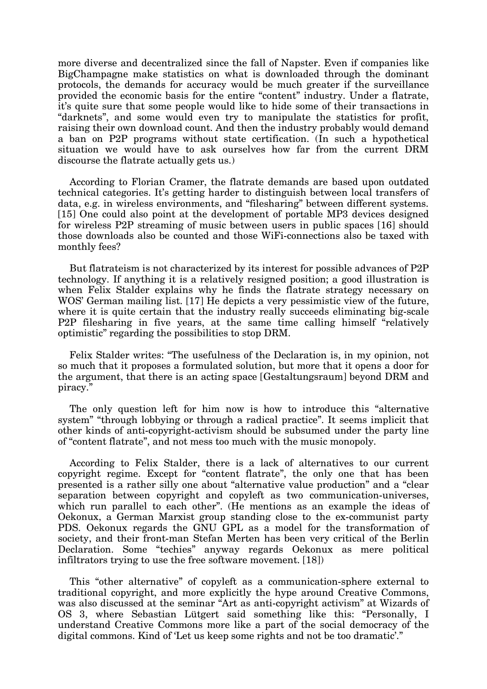more diverse and decentralized since the fall of Napster. Even if companies like BigChampagne make statistics on what is downloaded through the dominant protocols, the demands for accuracy would be much greater if the surveillance provided the economic basis for the entire "content" industry. Under a flatrate, it's quite sure that some people would like to hide some of their transactions in "darknets", and some would even try to manipulate the statistics for profit, raising their own download count. And then the industry probably would demand a ban on P2P programs without state certification. (In such a hypothetical situation we would have to ask ourselves how far from the current DRM discourse the flatrate actually gets us.)

According to Florian Cramer, the flatrate demands are based upon outdated technical categories. It's getting harder to distinguish between local transfers of data, e.g. in wireless environments, and "filesharing" between different systems. [15] One could also point at the development of portable MP3 devices designed for wireless P2P streaming of music between users in public spaces [16] should those downloads also be counted and those WiFi-connections also be taxed with monthly fees?

But flatrateism is not characterized by its interest for possible advances of P2P technology. If anything it is a relatively resigned position; a good illustration is when Felix Stalder explains why he finds the flatrate strategy necessary on WOS' German mailing list. [17] He depicts a very pessimistic view of the future, where it is quite certain that the industry really succeeds eliminating big-scale P2P filesharing in five years, at the same time calling himself "relatively optimistic" regarding the possibilities to stop DRM.

Felix Stalder writes: "The usefulness of the Declaration is, in my opinion, not so much that it proposes a formulated solution, but more that it opens a door for the argument, that there is an acting space [Gestaltungsraum] beyond DRM and piracy."

The only question left for him now is how to introduce this "alternative system" "through lobbying or through a radical practice". It seems implicit that other kinds of anti-copyright-activism should be subsumed under the party line of "content flatrate", and not mess too much with the music monopoly.

According to Felix Stalder, there is a lack of alternatives to our current copyright regime. Except for "content flatrate", the only one that has been presented is a rather silly one about "alternative value production" and a "clear separation between copyright and copyleft as two communication-universes, which run parallel to each other". (He mentions as an example the ideas of Oekonux, a German Marxist group standing close to the ex-communist party PDS. Oekonux regards the GNU GPL as a model for the transformation of society, and their front-man Stefan Merten has been very critical of the Berlin Declaration. Some "techies" anyway regards Oekonux as mere political infiltrators trying to use the free software movement. [18])

This "other alternative" of copyleft as a communication-sphere external to traditional copyright, and more explicitly the hype around Creative Commons, was also discussed at the seminar "Art as anti-copyright activism" at Wizards of OS 3, where Sebastian Lütgert said something like this: "Personally, I understand Creative Commons more like a part of the social democracy of the digital commons. Kind of 'Let us keep some rights and not be too dramatic'."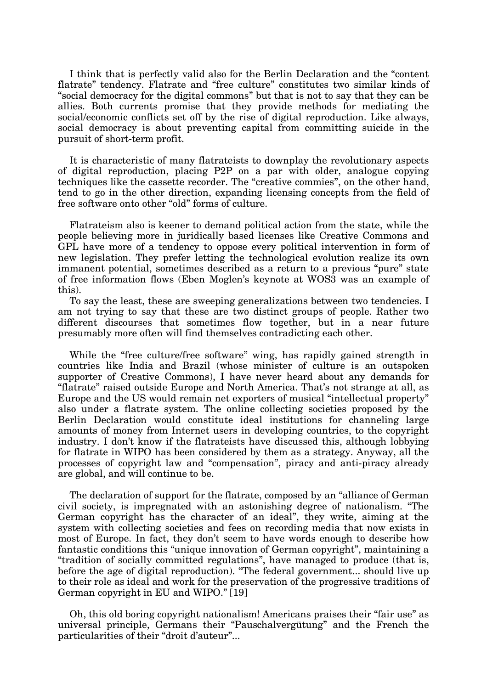I think that is perfectly valid also for the Berlin Declaration and the "content flatrate" tendency. Flatrate and "free culture" constitutes two similar kinds of "social democracy for the digital commons" but that is not to say that they can be allies. Both currents promise that they provide methods for mediating the social/economic conflicts set off by the rise of digital reproduction. Like always, social democracy is about preventing capital from committing suicide in the pursuit of short-term profit.

It is characteristic of many flatrateists to downplay the revolutionary aspects of digital reproduction, placing P2P on a par with older, analogue copying techniques like the cassette recorder. The "creative commies", on the other hand, tend to go in the other direction, expanding licensing concepts from the field of free software onto other "old" forms of culture.

Flatrateism also is keener to demand political action from the state, while the people believing more in juridically based licenses like Creative Commons and GPL have more of a tendency to oppose every political intervention in form of new legislation. They prefer letting the technological evolution realize its own immanent potential, sometimes described as a return to a previous "pure" state of free information flows (Eben Moglen's keynote at WOS3 was an example of this).

To say the least, these are sweeping generalizations between two tendencies. I am not trying to say that these are two distinct groups of people. Rather two different discourses that sometimes flow together, but in a near future presumably more often will find themselves contradicting each other.

While the "free culture/free software" wing, has rapidly gained strength in countries like India and Brazil (whose minister of culture is an outspoken supporter of Creative Commons), I have never heard about any demands for "flatrate" raised outside Europe and North America. That's not strange at all, as Europe and the US would remain net exporters of musical "intellectual property" also under a flatrate system. The online collecting societies proposed by the Berlin Declaration would constitute ideal institutions for channeling large amounts of money from Internet users in developing countries, to the copyright industry. I don't know if the flatrateists have discussed this, although lobbying for flatrate in WIPO has been considered by them as a strategy. Anyway, all the processes of copyright law and "compensation", piracy and anti-piracy already are global, and will continue to be.

The declaration of support for the flatrate, composed by an "alliance of German civil society, is impregnated with an astonishing degree of nationalism. "The German copyright has the character of an ideal", they write, aiming at the system with collecting societies and fees on recording media that now exists in most of Europe. In fact, they don't seem to have words enough to describe how fantastic conditions this "unique innovation of German copyright", maintaining a "tradition of socially committed regulations", have managed to produce (that is, before the age of digital reproduction). "The federal government... should live up to their role as ideal and work for the preservation of the progressive traditions of German copyright in EU and WIPO." [19]

Oh, this old boring copyright nationalism! Americans praises their "fair use" as universal principle, Germans their "Pauschalvergütung" and the French the particularities of their "droit d'auteur"...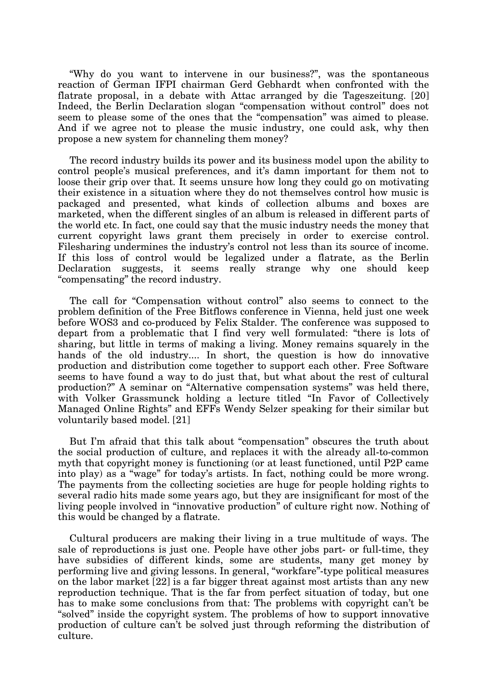"Why do you want to intervene in our business?", was the spontaneous reaction of German IFPI chairman Gerd Gebhardt when confronted with the flatrate proposal, in a debate with Attac arranged by die Tageszeitung. [20] Indeed, the Berlin Declaration slogan "compensation without control" does not seem to please some of the ones that the "compensation" was aimed to please. And if we agree not to please the music industry, one could ask, why then propose a new system for channeling them money?

The record industry builds its power and its business model upon the ability to control people's musical preferences, and it's damn important for them not to loose their grip over that. It seems unsure how long they could go on motivating their existence in a situation where they do not themselves control how music is packaged and presented, what kinds of collection albums and boxes are marketed, when the different singles of an album is released in different parts of the world etc. In fact, one could say that the music industry needs the money that current copyright laws grant them precisely in order to exercise control. Filesharing undermines the industry's control not less than its source of income. If this loss of control would be legalized under a flatrate, as the Berlin Declaration suggests, it seems really strange why one should keep "compensating" the record industry.

The call for "Compensation without control" also seems to connect to the problem definition of the Free Bitflows conference in Vienna, held just one week before WOS3 and co-produced by Felix Stalder. The conference was supposed to depart from a problematic that I find very well formulated: "there is lots of sharing, but little in terms of making a living. Money remains squarely in the hands of the old industry.... In short, the question is how do innovative production and distribution come together to support each other. Free Software seems to have found a way to do just that, but what about the rest of cultural production?" A seminar on "Alternative compensation systems" was held there, with Volker Grassmunck holding a lecture titled "In Favor of Collectively Managed Online Rights" and EFFs Wendy Selzer speaking for their similar but voluntarily based model. [21]

But I'm afraid that this talk about "compensation" obscures the truth about the social production of culture, and replaces it with the already all-to-common myth that copyright money is functioning (or at least functioned, until P2P came into play) as a "wage" for today's artists. In fact, nothing could be more wrong. The payments from the collecting societies are huge for people holding rights to several radio hits made some years ago, but they are insignificant for most of the living people involved in "innovative production" of culture right now. Nothing of this would be changed by a flatrate.

Cultural producers are making their living in a true multitude of ways. The sale of reproductions is just one. People have other jobs part- or full-time, they have subsidies of different kinds, some are students, many get money by performing live and giving lessons. In general, "workfare"-type political measures on the labor market [22] is a far bigger threat against most artists than any new reproduction technique. That is the far from perfect situation of today, but one has to make some conclusions from that: The problems with copyright can't be "solved" inside the copyright system. The problems of how to support innovative production of culture can't be solved just through reforming the distribution of culture.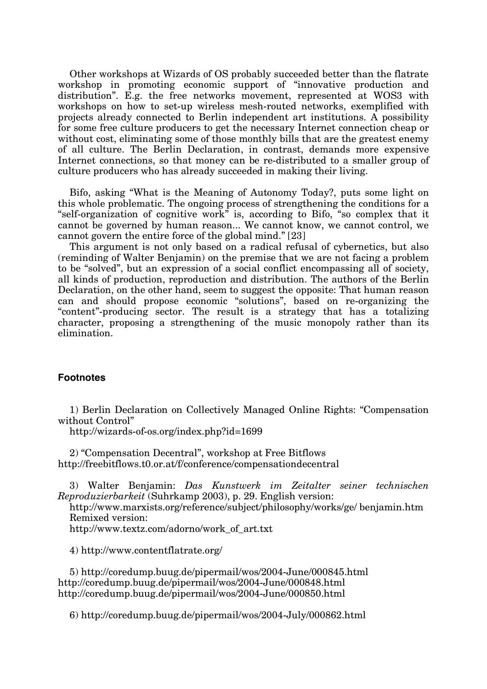Other workshops at Wizards of OS probably succeeded better than the flatrate workshop in promoting economic support of "innovative production and distribution". E.g. the free networks movement, represented at WOS3 with workshops on how to set-up wireless mesh-routed networks, exemplified with projects already connected to Berlin independent art institutions. A possibility for some free culture producers to get the necessary Internet connection cheap or without cost, eliminating some of those monthly bills that are the greatest enemy of all culture. The Berlin Declaration, in contrast, demands more expensive Internet connections, so that money can be re-distributed to a smaller group of culture producers who has already succeeded in making their living.

Bifo, asking "What is the Meaning of Autonomy Today?, puts some light on this whole problematic. The ongoing process of strengthening the conditions for a "self-organization of cognitive work" is, according to Bifo, "so complex that it cannot be governed by human reason... We cannot know, we cannot control, we cannot govern the entire force of the global mind." [23]

This argument is not only based on a radical refusal of cybernetics, but also (reminding of Walter Benjamin) on the premise that we are not facing a problem to be "solved", but an expression of a social conflict encompassing all of society, all kinds of production, reproduction and distribution. The authors of the Berlin Declaration, on the other hand, seem to suggest the opposite: That human reason can and should propose economic "solutions", based on re-organizing the "content"-producing sector. The result is a strategy that has a totalizing character, proposing a strengthening of the music monopoly rather than its elimination.

## **Footnotes**

1) Berlin Declaration on Collectively Managed Online Rights: "Compensation without Control"

http://wizards-of-os.org/index.php?id=1699

2) "Compensation Decentral", workshop at Free Bitflows http://freebitflows.t0.or.at/f/conference/compensationdecentral

3) Walter Benjamin: *Das Kunstwerk im Zeitalter seiner technischen Reproduzierbarkeit* (Suhrkamp 2003), p. 29. English version:

http://www.marxists.org/reference/subject/philosophy/works/ge/ benjamin.htm Remixed version:

http://www.textz.com/adorno/work\_of\_art.txt

4) http://www.contentflatrate.org/

5) http://coredump.buug.de/pipermail/wos/2004-June/000845.html http://coredump.buug.de/pipermail/wos/2004-June/000848.html http://coredump.buug.de/pipermail/wos/2004-June/000850.html

6) http://coredump.buug.de/pipermail/wos/2004-July/000862.html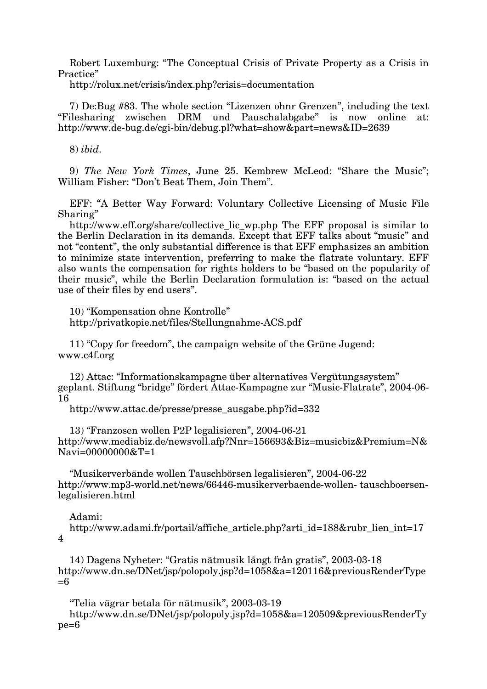Robert Luxemburg: "The Conceptual Crisis of Private Property as a Crisis in Practice"

http://rolux.net/crisis/index.php?crisis=documentation

7) De:Bug #83. The whole section "Lizenzen ohnr Grenzen", including the text "Filesharing zwischen DRM und Pauschalabgabe" is now online at: http://www.de-bug.de/cgi-bin/debug.pl?what=show&part=news&ID=2639

8) *ibid.*

9) *The New York Times*, June 25. Kembrew McLeod: "Share the Music"; William Fisher: "Don't Beat Them, Join Them".

EFF: "A Better Way Forward: Voluntary Collective Licensing of Music File Sharing"

http://www.eff.org/share/collective\_lic\_wp.php The EFF proposal is similar to the Berlin Declaration in its demands. Except that EFF talks about "music" and not "content", the only substantial difference is that EFF emphasizes an ambition to minimize state intervention, preferring to make the flatrate voluntary. EFF also wants the compensation for rights holders to be "based on the popularity of their music", while the Berlin Declaration formulation is: "based on the actual use of their files by end users".

10) "Kompensation ohne Kontrolle" http://privatkopie.net/files/Stellungnahme-ACS.pdf

11) "Copy for freedom", the campaign website of the Grüne Jugend: www.c4f.org

12) Attac: "Informationskampagne über alternatives Vergütungssystem" geplant. Stiftung "bridge" fördert Attac-Kampagne zur "Music-Flatrate", 2004-06- 16

http://www.attac.de/presse/presse\_ausgabe.php?id=332

13) "Franzosen wollen P2P legalisieren", 2004-06-21 http://www.mediabiz.de/newsvoll.afp?Nnr=156693&Biz=musicbiz&Premium=N& Navi=00000000&T=1

"Musikerverbände wollen Tauschbörsen legalisieren", 2004-06-22 http://www.mp3-world.net/news/66446-musikerverbaende-wollen- tauschboersenlegalisieren.html

## Adami:

http://www.adami.fr/portail/affiche\_article.php?arti\_id=188&rubr\_lien\_int=17 4

14) Dagens Nyheter: "Gratis nätmusik långt från gratis", 2003-03-18 http://www.dn.se/DNet/jsp/polopoly.jsp?d=1058&a=120116&previousRenderType  $=6$ 

"Telia vägrar betala för nätmusik", 2003-03-19

http://www.dn.se/DNet/jsp/polopoly.jsp?d=1058&a=120509&previousRenderTy pe=6